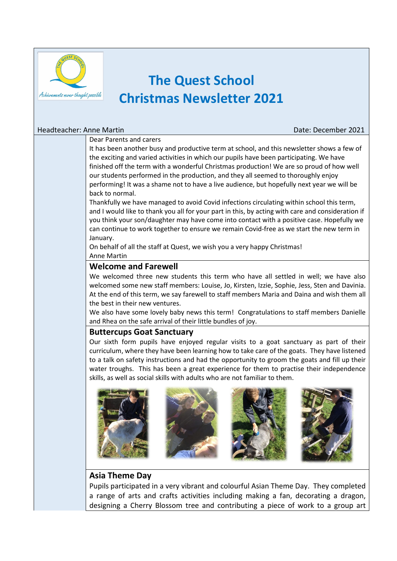

# **The Quest School Christmas Newsletter 2021**

#### Headteacher: Anne Martin Date: December 2021

#### Dear Parents and carers

It has been another busy and productive term at school, and this newsletter shows a few of the exciting and varied activities in which our pupils have been participating. We have finished off the term with a wonderful Christmas production! We are so proud of how well our students performed in the production, and they all seemed to thoroughly enjoy performing! It was a shame not to have a live audience, but hopefully next year we will be back to normal.

Thankfully we have managed to avoid Covid infections circulating within school this term, and I would like to thank you all for your part in this, by acting with care and consideration if you think your son/daughter may have come into contact with a positive case. Hopefully we can continue to work together to ensure we remain Covid-free as we start the new term in January.

On behalf of all the staff at Quest, we wish you a very happy Christmas! Anne Martin

# **Welcome and Farewell**

We welcomed three new students this term who have all settled in well; we have also welcomed some new staff members: Louise, Jo, Kirsten, Izzie, Sophie, Jess, Sten and Davinia. At the end of this term, we say farewell to staff members Maria and Daina and wish them all the best in their new ventures.

We also have some lovely baby news this term! Congratulations to staff members Danielle and Rhea on the safe arrival of their little bundles of joy.

# **Buttercups Goat Sanctuary**

Our sixth form pupils have enjoyed regular visits to a goat sanctuary as part of their curriculum, where they have been learning how to take care of the goats. They have listened to a talk on safety instructions and had the opportunity to groom the goats and fill up their water troughs. This has been a great experience for them to practise their independence skills, as well as social skills with adults who are not familiar to them.



# **Asia Theme Day**

Pupils participated in a very vibrant and colourful Asian Theme Day. They completed a range of arts and crafts activities including making a fan, decorating a dragon, designing a Cherry Blossom tree and contributing a piece of work to a group art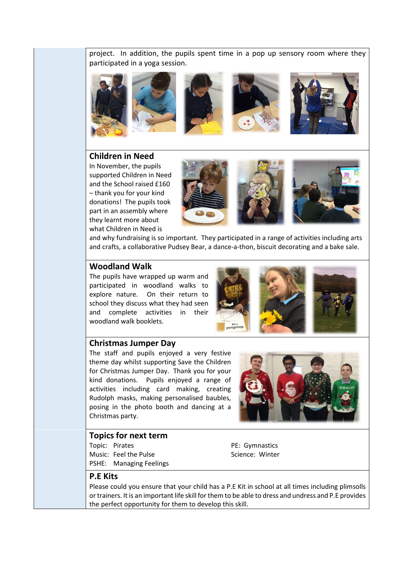project. In addition, the pupils spent time in a pop up sensory room where they participated in a yoga session.









#### **Children in Need**

In November, the pupils supported Children in Need and the School raised £160 – thank you for your kind donations! The pupils took part in an assembly where they learnt more about what Children in Need is



and why fundraising is so important. They participated in a range of activities including arts and crafts, a collaborative Pudsey Bear, a dance-a-thon, biscuit decorating and a bake sale.

# **Woodland Walk**

The pupils have wrapped up warm and participated in woodland walks to explore nature. On their return to school they discuss what they had seen and complete activities in their woodland walk booklets.



# **Christmas Jumper Day**

The staff and pupils enjoyed a very festive theme day whilst supporting Save the Children for Christmas Jumper Day. Thank you for your kind donations. Pupils enjoyed a range of activities including card making, creating Rudolph masks, making personalised baubles, posing in the photo booth and dancing at a Christmas party.



#### **Topics for next term**

Topic: Pirates Music: Feel the Pulse PSHE: Managing Feelings PE: Gymnastics Science: Winter

#### **P.E Kits**

Please could you ensure that your child has a P.E Kit in school at all times including plimsolls or trainers. It is an important life skill for them to be able to dress and undress and P.E provides the perfect opportunity for them to develop this skill.